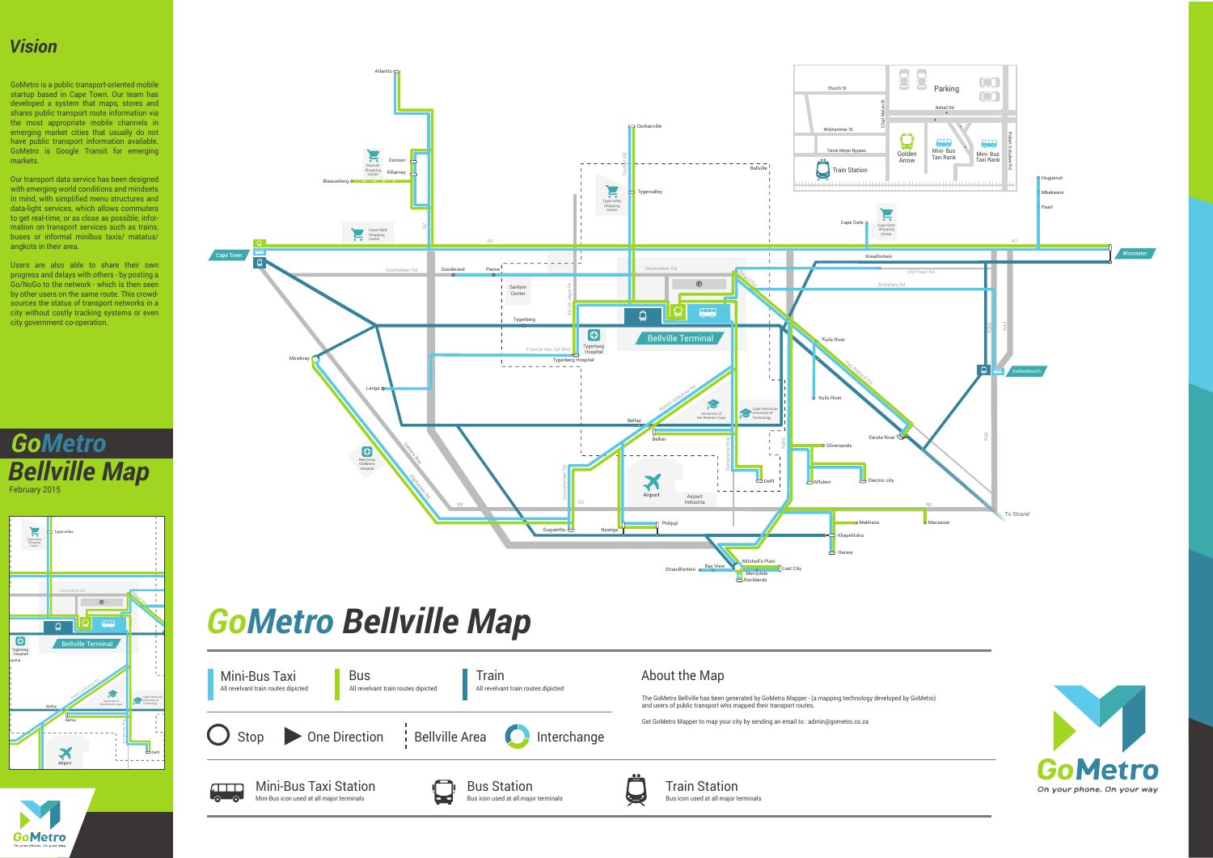Train Station Bus icon used at all major terminals

On your phone. On your way

The GoMetro Bellville has been generated by GoMetro Mapper - (a mapping technology developed by GoMetro) and users of public transport who mapped their transport routes.

Get GoMetro Mapper to map your city by sending an email to : admin@gometro.co.za





#### *GoMetro Bellville Map*  $\overline{\mathbf{U}}$

## *Vision*



GoMetro is a public transport-oriented mobile startup based in Cape Town. Our team has developed a system that maps, stores and shares public transport route information via the most appropriate mobile channels in emerging market cities that usually do not have public transport information available. GoMetro is Google Transit for emerging markets.

Our transport data service has been designed with emerging world conditions and mindsets in mind, with simplified menu structures and data-light services, which allows commuters to get real-time, or as close as possible, information on transport services such as trains, buses or informal minibus taxis/ matatus/ angkots in their area.

Users are also able to share their own progress and delays with others - by posting a Go/NoGo to the network - which is then seen by other users on the same route. This crowdsources the status of transport networks in a city without costly tracking systems or even city government co-operation.

*GoMetro* **Bellville Map** February 2015



**GoMetro**